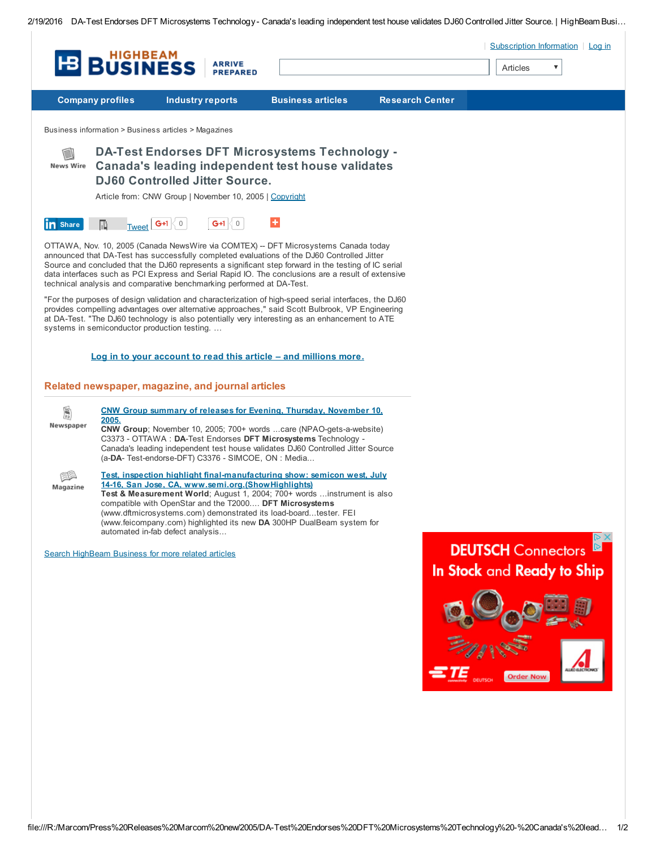2/19/2016 DA-Test Endorses DFT Microsystems Technology- Canada's leading independent test house validates DJ60 Controlled Jitter Source. | HighBeam Busi…